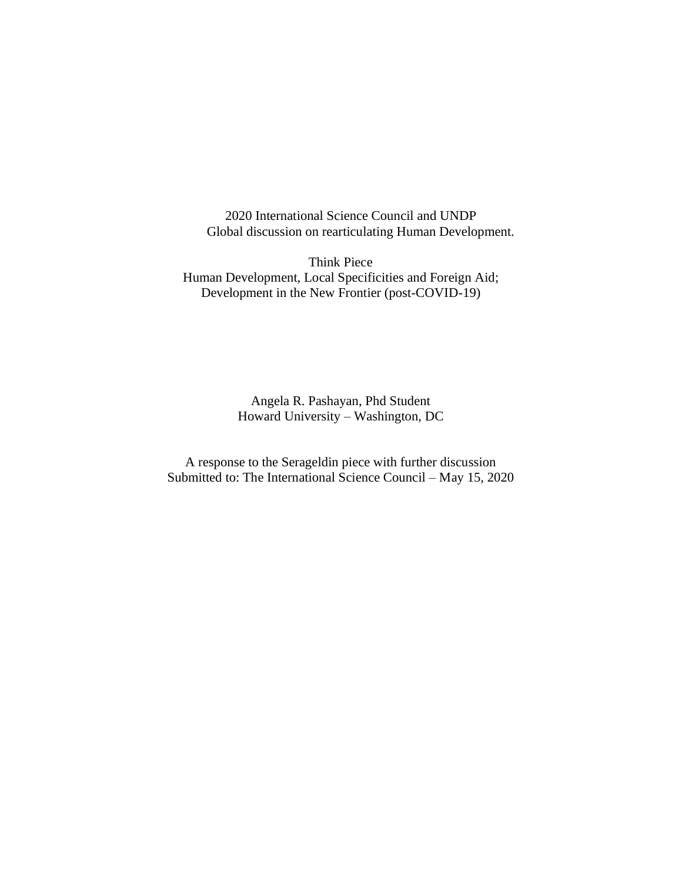2020 International Science Council and UNDP Global discussion on rearticulating Human Development.

Think Piece Human Development, Local Specificities and Foreign Aid; Development in the New Frontier (post-COVID-19)

> Angela R. Pashayan, Phd Student Howard University – Washington, DC

A response to the Serageldin piece with further discussion Submitted to: The International Science Council – May 15, 2020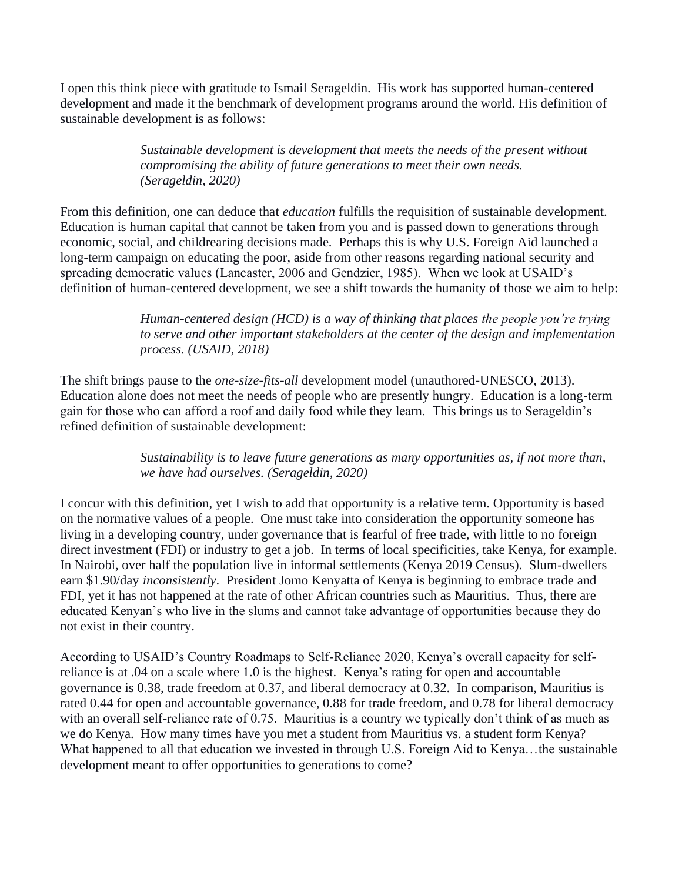I open this think piece with gratitude to Ismail Serageldin. His work has supported human-centered development and made it the benchmark of development programs around the world. His definition of sustainable development is as follows:

> *Sustainable development is development that meets the needs of the present without compromising the ability of future generations to meet their own needs. (Serageldin, 2020)*

From this definition, one can deduce that *education* fulfills the requisition of sustainable development. Education is human capital that cannot be taken from you and is passed down to generations through economic, social, and childrearing decisions made. Perhaps this is why U.S. Foreign Aid launched a long-term campaign on educating the poor, aside from other reasons regarding national security and spreading democratic values (Lancaster, 2006 and Gendzier, 1985). When we look at USAID's definition of human-centered development, we see a shift towards the humanity of those we aim to help:

> *Human-centered design (HCD) is a way of thinking that places the people you're trying to serve and other important stakeholders at the center of the design and implementation process. (USAID, 2018)*

The shift brings pause to the *one-size-fits-all* development model (unauthored-UNESCO, 2013). Education alone does not meet the needs of people who are presently hungry. Education is a long-term gain for those who can afford a roof and daily food while they learn. This brings us to Serageldin's refined definition of sustainable development:

> *Sustainability is to leave future generations as many opportunities as, if not more than, we have had ourselves. (Serageldin, 2020)*

I concur with this definition, yet I wish to add that opportunity is a relative term. Opportunity is based on the normative values of a people. One must take into consideration the opportunity someone has living in a developing country, under governance that is fearful of free trade, with little to no foreign direct investment (FDI) or industry to get a job. In terms of local specificities, take Kenya, for example. In Nairobi, over half the population live in informal settlements (Kenya 2019 Census). Slum-dwellers earn \$1.90/day *inconsistently*. President Jomo Kenyatta of Kenya is beginning to embrace trade and FDI, yet it has not happened at the rate of other African countries such as Mauritius. Thus, there are educated Kenyan's who live in the slums and cannot take advantage of opportunities because they do not exist in their country.

According to USAID's Country Roadmaps to Self-Reliance 2020, Kenya's overall capacity for selfreliance is at .04 on a scale where 1.0 is the highest. Kenya's rating for open and accountable governance is 0.38, trade freedom at 0.37, and liberal democracy at 0.32. In comparison, Mauritius is rated 0.44 for open and accountable governance, 0.88 for trade freedom, and 0.78 for liberal democracy with an overall self-reliance rate of 0.75. Mauritius is a country we typically don't think of as much as we do Kenya. How many times have you met a student from Mauritius vs. a student form Kenya? What happened to all that education we invested in through U.S. Foreign Aid to Kenya…the sustainable development meant to offer opportunities to generations to come?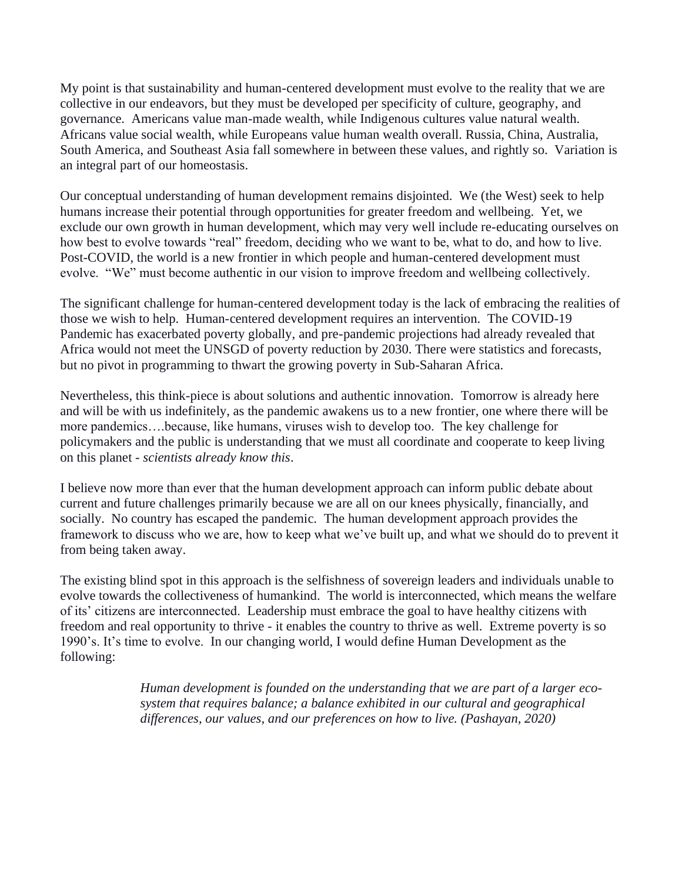My point is that sustainability and human-centered development must evolve to the reality that we are collective in our endeavors, but they must be developed per specificity of culture, geography, and governance. Americans value man-made wealth, while Indigenous cultures value natural wealth. Africans value social wealth, while Europeans value human wealth overall. Russia, China, Australia, South America, and Southeast Asia fall somewhere in between these values, and rightly so. Variation is an integral part of our homeostasis.

Our conceptual understanding of human development remains disjointed. We (the West) seek to help humans increase their potential through opportunities for greater freedom and wellbeing. Yet, we exclude our own growth in human development, which may very well include re-educating ourselves on how best to evolve towards "real" freedom, deciding who we want to be, what to do, and how to live. Post-COVID, the world is a new frontier in which people and human-centered development must evolve. "We" must become authentic in our vision to improve freedom and wellbeing collectively.

The significant challenge for human-centered development today is the lack of embracing the realities of those we wish to help. Human-centered development requires an intervention. The COVID-19 Pandemic has exacerbated poverty globally, and pre-pandemic projections had already revealed that Africa would not meet the UNSGD of poverty reduction by 2030. There were statistics and forecasts, but no pivot in programming to thwart the growing poverty in Sub-Saharan Africa.

Nevertheless, this think-piece is about solutions and authentic innovation. Tomorrow is already here and will be with us indefinitely, as the pandemic awakens us to a new frontier, one where there will be more pandemics….because, like humans, viruses wish to develop too. The key challenge for policymakers and the public is understanding that we must all coordinate and cooperate to keep living on this planet - *scientists already know this*.

I believe now more than ever that the human development approach can inform public debate about current and future challenges primarily because we are all on our knees physically, financially, and socially. No country has escaped the pandemic. The human development approach provides the framework to discuss who we are, how to keep what we've built up, and what we should do to prevent it from being taken away.

The existing blind spot in this approach is the selfishness of sovereign leaders and individuals unable to evolve towards the collectiveness of humankind. The world is interconnected, which means the welfare of its' citizens are interconnected. Leadership must embrace the goal to have healthy citizens with freedom and real opportunity to thrive - it enables the country to thrive as well. Extreme poverty is so 1990's. It's time to evolve. In our changing world, I would define Human Development as the following:

> *Human development is founded on the understanding that we are part of a larger ecosystem that requires balance; a balance exhibited in our cultural and geographical differences, our values, and our preferences on how to live. (Pashayan, 2020)*